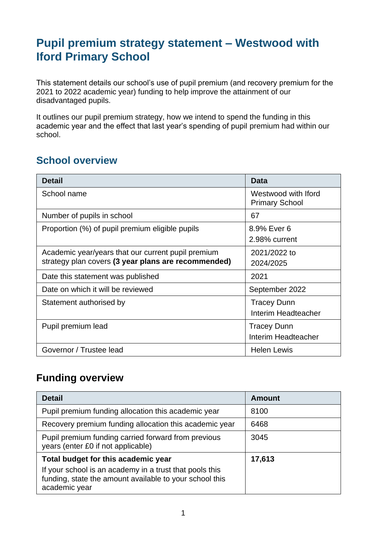# **Pupil premium strategy statement – Westwood with Iford Primary School**

This statement details our school's use of pupil premium (and recovery premium for the 2021 to 2022 academic year) funding to help improve the attainment of our disadvantaged pupils.

It outlines our pupil premium strategy, how we intend to spend the funding in this academic year and the effect that last year's spending of pupil premium had within our school.

### **School overview**

| <b>Detail</b>                                                                                             | <b>Data</b>                                  |
|-----------------------------------------------------------------------------------------------------------|----------------------------------------------|
| School name                                                                                               | Westwood with Iford<br><b>Primary School</b> |
| Number of pupils in school                                                                                | 67                                           |
| Proportion (%) of pupil premium eligible pupils                                                           | 8.9% Ever 6<br>2.98% current                 |
| Academic year/years that our current pupil premium<br>strategy plan covers (3 year plans are recommended) | 2021/2022 to<br>2024/2025                    |
| Date this statement was published                                                                         | 2021                                         |
| Date on which it will be reviewed                                                                         | September 2022                               |
| Statement authorised by                                                                                   | <b>Tracey Dunn</b><br>Interim Headteacher    |
| Pupil premium lead                                                                                        | <b>Tracey Dunn</b><br>Interim Headteacher    |
| Governor / Trustee lead                                                                                   | <b>Helen Lewis</b>                           |

#### **Funding overview**

| <b>Detail</b>                                                                                                                       | <b>Amount</b> |
|-------------------------------------------------------------------------------------------------------------------------------------|---------------|
| Pupil premium funding allocation this academic year                                                                                 | 8100          |
| Recovery premium funding allocation this academic year                                                                              | 6468          |
| Pupil premium funding carried forward from previous<br>years (enter £0 if not applicable)                                           | 3045          |
| Total budget for this academic year                                                                                                 | 17,613        |
| If your school is an academy in a trust that pools this<br>funding, state the amount available to your school this<br>academic year |               |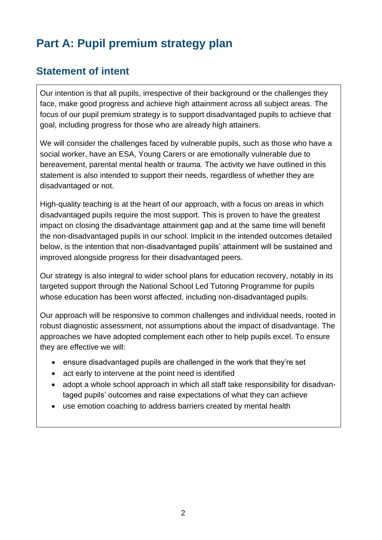# **Part A: Pupil premium strategy plan**

### **Statement of intent**

Our intention is that all pupils, irrespective of their background or the challenges they face, make good progress and achieve high attainment across all subject areas. The focus of our pupil premium strategy is to support disadvantaged pupils to achieve that goal, including progress for those who are already high attainers.

We will consider the challenges faced by vulnerable pupils, such as those who have a social worker, have an ESA, Young Carers or are emotionally vulnerable due to bereavement, parental mental health or trauma. The activity we have outlined in this statement is also intended to support their needs, regardless of whether they are disadvantaged or not.

High-quality teaching is at the heart of our approach, with a focus on areas in which disadvantaged pupils require the most support. This is proven to have the greatest impact on closing the disadvantage attainment gap and at the same time will benefit the non-disadvantaged pupils in our school. Implicit in the intended outcomes detailed below, is the intention that non-disadvantaged pupils' attainment will be sustained and improved alongside progress for their disadvantaged peers.

Our strategy is also integral to wider school plans for education recovery, notably in its targeted support through the National School Led Tutoring Programme for pupils whose education has been worst affected, including non-disadvantaged pupils.

Our approach will be responsive to common challenges and individual needs, rooted in robust diagnostic assessment, not assumptions about the impact of disadvantage. The approaches we have adopted complement each other to help pupils excel. To ensure they are effective we will:

- ensure disadvantaged pupils are challenged in the work that they're set
- act early to intervene at the point need is identified
- adopt a whole school approach in which all staff take responsibility for disadvantaged pupils' outcomes and raise expectations of what they can achieve
- use emotion coaching to address barriers created by mental health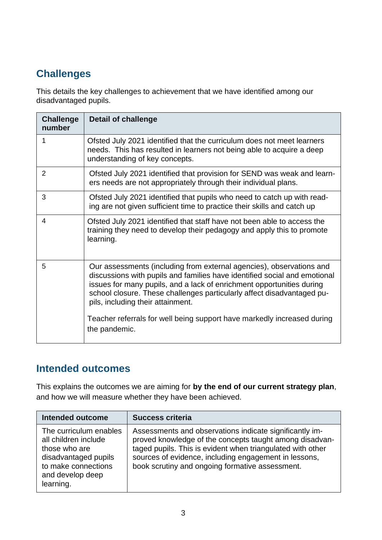## **Challenges**

This details the key challenges to achievement that we have identified among our disadvantaged pupils.

| <b>Challenge</b><br>number | <b>Detail of challenge</b>                                                                                                                                                                                                                                                                                                                |
|----------------------------|-------------------------------------------------------------------------------------------------------------------------------------------------------------------------------------------------------------------------------------------------------------------------------------------------------------------------------------------|
| 1                          | Ofsted July 2021 identified that the curriculum does not meet learners<br>needs. This has resulted in learners not being able to acquire a deep<br>understanding of key concepts.                                                                                                                                                         |
| $\overline{2}$             | Ofsted July 2021 identified that provision for SEND was weak and learn-<br>ers needs are not appropriately through their individual plans.                                                                                                                                                                                                |
| 3                          | Ofsted July 2021 identified that pupils who need to catch up with read-<br>ing are not given sufficient time to practice their skills and catch up                                                                                                                                                                                        |
| 4                          | Ofsted July 2021 identified that staff have not been able to access the<br>training they need to develop their pedagogy and apply this to promote<br>learning.                                                                                                                                                                            |
| 5                          | Our assessments (including from external agencies), observations and<br>discussions with pupils and families have identified social and emotional<br>issues for many pupils, and a lack of enrichment opportunities during<br>school closure. These challenges particularly affect disadvantaged pu-<br>pils, including their attainment. |
|                            | Teacher referrals for well being support have markedly increased during<br>the pandemic.                                                                                                                                                                                                                                                  |

#### **Intended outcomes**

This explains the outcomes we are aiming for **by the end of our current strategy plan**, and how we will measure whether they have been achieved.

| <b>Intended outcome</b>                                                                                                                         | <b>Success criteria</b>                                                                                                                                                                                                                                                                      |
|-------------------------------------------------------------------------------------------------------------------------------------------------|----------------------------------------------------------------------------------------------------------------------------------------------------------------------------------------------------------------------------------------------------------------------------------------------|
| The curriculum enables<br>all children include<br>those who are<br>disadvantaged pupils<br>to make connections<br>and develop deep<br>learning. | Assessments and observations indicate significantly im-<br>proved knowledge of the concepts taught among disadvan-<br>taged pupils. This is evident when triangulated with other<br>sources of evidence, including engagement in lessons,<br>book scrutiny and ongoing formative assessment. |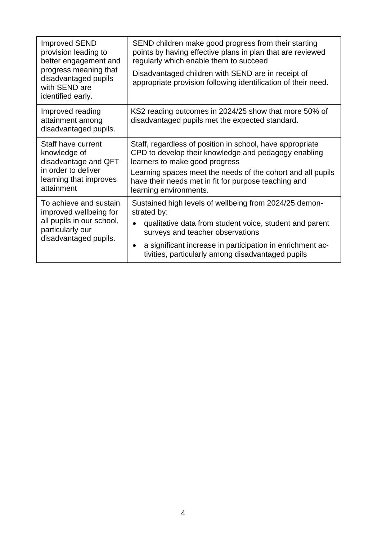| <b>Improved SEND</b><br>provision leading to<br>better engagement and<br>progress meaning that<br>disadvantaged pupils<br>with SEND are<br>identified early. | SEND children make good progress from their starting<br>points by having effective plans in plan that are reviewed<br>regularly which enable them to succeed<br>Disadvantaged children with SEND are in receipt of<br>appropriate provision following identification of their need.                  |
|--------------------------------------------------------------------------------------------------------------------------------------------------------------|------------------------------------------------------------------------------------------------------------------------------------------------------------------------------------------------------------------------------------------------------------------------------------------------------|
| Improved reading<br>attainment among<br>disadvantaged pupils.                                                                                                | KS2 reading outcomes in 2024/25 show that more 50% of<br>disadvantaged pupils met the expected standard.                                                                                                                                                                                             |
| Staff have current<br>knowledge of<br>disadvantage and QFT<br>in order to deliver<br>learning that improves<br>attainment                                    | Staff, regardless of position in school, have appropriate<br>CPD to develop their knowledge and pedagogy enabling<br>learners to make good progress<br>Learning spaces meet the needs of the cohort and all pupils<br>have their needs met in fit for purpose teaching and<br>learning environments. |
| To achieve and sustain<br>improved wellbeing for<br>all pupils in our school,<br>particularly our<br>disadvantaged pupils.                                   | Sustained high levels of wellbeing from 2024/25 demon-<br>strated by:<br>qualitative data from student voice, student and parent<br>surveys and teacher observations<br>a significant increase in participation in enrichment ac-<br>$\bullet$<br>tivities, particularly among disadvantaged pupils  |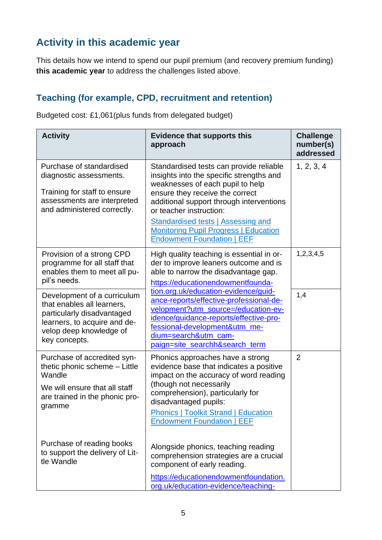## **Activity in this academic year**

This details how we intend to spend our pupil premium (and recovery premium funding) **this academic year** to address the challenges listed above.

#### **Teaching (for example, CPD, recruitment and retention)**

Budgeted cost: £1,061(plus funds from delegated budget)

| <b>Activity</b>                                                                                                                                                     | <b>Evidence that supports this</b><br>approach                                                                                                                                                                                                                                                                                                                      | <b>Challenge</b><br>number(s)<br>addressed |
|---------------------------------------------------------------------------------------------------------------------------------------------------------------------|---------------------------------------------------------------------------------------------------------------------------------------------------------------------------------------------------------------------------------------------------------------------------------------------------------------------------------------------------------------------|--------------------------------------------|
| Purchase of standardised<br>diagnostic assessments.<br>Training for staff to ensure<br>assessments are interpreted<br>and administered correctly.                   | Standardised tests can provide reliable<br>insights into the specific strengths and<br>weaknesses of each pupil to help<br>ensure they receive the correct<br>additional support through interventions<br>or teacher instruction:<br><b>Standardised tests   Assessing and</b><br><b>Monitoring Pupil Progress   Education</b><br><b>Endowment Foundation   EEF</b> | 1, 2, 3, 4                                 |
| Provision of a strong CPD<br>programme for all staff that<br>enables them to meet all pu-<br>pil's needs.                                                           | High quality teaching is essential in or-<br>der to improve leaners outcome and is<br>able to narrow the disadvantage gap.<br>https://educationendowmentfounda-                                                                                                                                                                                                     | 1,2,3,4,5                                  |
| Development of a curriculum<br>that enables all learners,<br>particularly disadvantaged<br>learners, to acquire and de-<br>velop deep knowledge of<br>key concepts. | tion.org.uk/education-evidence/guid-<br>ance-reports/effective-professional-de-<br>velopment?utm_source=/education-ev-<br>idence/guidance-reports/effective-pro-<br>fessional-development&utm_me-<br>dium=search&utm_cam-<br>paign=site_searchh&search_term                                                                                                         | 1,4                                        |
| Purchase of accredited syn-<br>thetic phonic scheme - Little<br>Wandle<br>We will ensure that all staff<br>are trained in the phonic pro-<br>gramme                 | Phonics approaches have a strong<br>evidence base that indicates a positive<br>impact on the accuracy of word reading<br>(though not necessarily<br>comprehension), particularly for<br>disadvantaged pupils:<br><b>Phonics   Toolkit Strand   Education</b><br><b>Endowment Foundation   EEF</b>                                                                   | $\overline{2}$                             |
| Purchase of reading books<br>to support the delivery of Lit-<br>tle Wandle                                                                                          | Alongside phonics, teaching reading<br>comprehension strategies are a crucial<br>component of early reading.<br>https://educationendowmentfoundation.<br>org.uk/education-evidence/teaching-                                                                                                                                                                        |                                            |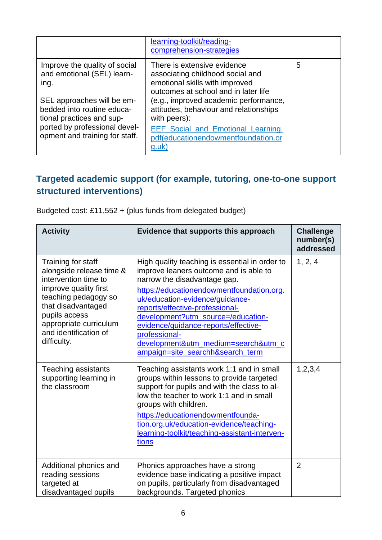|                                                                                                                                                                                                                                 | learning-toolkit/reading-<br>comprehension-strategies                                                                                                                                                                                                                                                                                     |   |
|---------------------------------------------------------------------------------------------------------------------------------------------------------------------------------------------------------------------------------|-------------------------------------------------------------------------------------------------------------------------------------------------------------------------------------------------------------------------------------------------------------------------------------------------------------------------------------------|---|
| Improve the quality of social<br>and emotional (SEL) learn-<br>ing.<br>SEL approaches will be em-<br>bedded into routine educa-<br>tional practices and sup-<br>ported by professional devel-<br>opment and training for staff. | There is extensive evidence<br>associating childhood social and<br>emotional skills with improved<br>outcomes at school and in later life<br>(e.g., improved academic performance,<br>attitudes, behaviour and relationships<br>with peers):<br>EEF_Social_and_Emotional_Learning.<br>pdf(educationendowmentfoundation.or<br><u>g.uk)</u> | 5 |

#### **Targeted academic support (for example, tutoring, one-to-one support structured interventions)**

Budgeted cost: £11,552 + (plus funds from delegated budget)

| <b>Activity</b>                                                                                                                                                                                                                  | Evidence that supports this approach                                                                                                                                                                                                                                                                                                                                                                                  | <b>Challenge</b><br>number(s)<br>addressed |
|----------------------------------------------------------------------------------------------------------------------------------------------------------------------------------------------------------------------------------|-----------------------------------------------------------------------------------------------------------------------------------------------------------------------------------------------------------------------------------------------------------------------------------------------------------------------------------------------------------------------------------------------------------------------|--------------------------------------------|
| Training for staff<br>alongside release time &<br>intervention time to<br>improve quality first<br>teaching pedagogy so<br>that disadvantaged<br>pupils access<br>appropriate curriculum<br>and identification of<br>difficulty. | High quality teaching is essential in order to<br>improve leaners outcome and is able to<br>narrow the disadvantage gap.<br>https://educationendowmentfoundation.org.<br>uk/education-evidence/guidance-<br>reports/effective-professional-<br>development?utm_source=/education-<br>evidence/guidance-reports/effective-<br>professional-<br>development&utm_medium=search&utm_c<br>ampaign=site_searchh&search_term | 1, 2, 4                                    |
| <b>Teaching assistants</b><br>supporting learning in<br>the classroom                                                                                                                                                            | Teaching assistants work 1:1 and in small<br>groups within lessons to provide targeted<br>support for pupils and with the class to al-<br>low the teacher to work 1:1 and in small<br>groups with children.<br>https://educationendowmentfounda-<br>tion.org.uk/education-evidence/teaching-<br>learning-toolkit/teaching-assistant-interven-<br><u>tions</u>                                                         | 1,2,3,4                                    |
| Additional phonics and<br>reading sessions<br>targeted at<br>disadvantaged pupils                                                                                                                                                | Phonics approaches have a strong<br>evidence base indicating a positive impact<br>on pupils, particularly from disadvantaged<br>backgrounds. Targeted phonics                                                                                                                                                                                                                                                         | $\overline{2}$                             |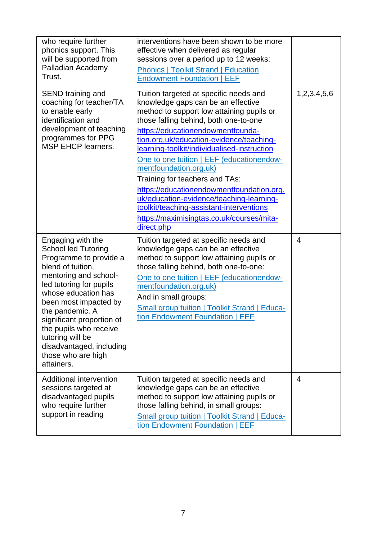| who require further<br>phonics support. This<br>will be supported from<br>Palladian Academy<br>Trust.                                                                                                                                                                                                                                                            | interventions have been shown to be more<br>effective when delivered as regular<br>sessions over a period up to 12 weeks:<br><b>Phonics   Toolkit Strand   Education</b><br><b>Endowment Foundation   EEF</b>                                                                                                                                                                                                                                                                                                                                                                                               |                |
|------------------------------------------------------------------------------------------------------------------------------------------------------------------------------------------------------------------------------------------------------------------------------------------------------------------------------------------------------------------|-------------------------------------------------------------------------------------------------------------------------------------------------------------------------------------------------------------------------------------------------------------------------------------------------------------------------------------------------------------------------------------------------------------------------------------------------------------------------------------------------------------------------------------------------------------------------------------------------------------|----------------|
| SEND training and<br>coaching for teacher/TA<br>to enable early<br>identification and<br>development of teaching<br>programmes for PPG<br><b>MSP EHCP learners.</b>                                                                                                                                                                                              | Tuition targeted at specific needs and<br>knowledge gaps can be an effective<br>method to support low attaining pupils or<br>those falling behind, both one-to-one<br>https://educationendowmentfounda-<br>tion.org.uk/education-evidence/teaching-<br>learning-toolkit/individualised-instruction<br>One to one tuition   EEF (educationendow-<br>mentfoundation.org.uk)<br>Training for teachers and TAs:<br>https://educationendowmentfoundation.org.<br>uk/education-evidence/teaching-learning-<br>toolkit/teaching-assistant-interventions<br>https://maximisingtas.co.uk/courses/mita-<br>direct.php | 1,2,3,4,5,6    |
| Engaging with the<br><b>School led Tutoring</b><br>Programme to provide a<br>blend of tuition,<br>mentoring and school-<br>led tutoring for pupils<br>whose education has<br>been most impacted by<br>the pandemic. A<br>significant proportion of<br>the pupils who receive<br>tutoring will be<br>disadvantaged, including<br>those who are high<br>attainers. | Tuition targeted at specific needs and<br>knowledge gaps can be an effective<br>method to support low attaining pupils or<br>those falling behind, both one-to-one:<br>One to one tuition   EEF (educationendow-<br>mentfoundation.org.uk)<br>And in small groups:<br><b>Small group tuition   Toolkit Strand   Educa-</b><br>tion Endowment Foundation   EEF                                                                                                                                                                                                                                               | $\overline{4}$ |
| Additional intervention<br>sessions targeted at<br>disadvantaged pupils<br>who require further<br>support in reading                                                                                                                                                                                                                                             | Tuition targeted at specific needs and<br>knowledge gaps can be an effective<br>method to support low attaining pupils or<br>those falling behind, in small groups:<br><b>Small group tuition   Toolkit Strand   Educa-</b><br>tion Endowment Foundation   EEF                                                                                                                                                                                                                                                                                                                                              | $\overline{4}$ |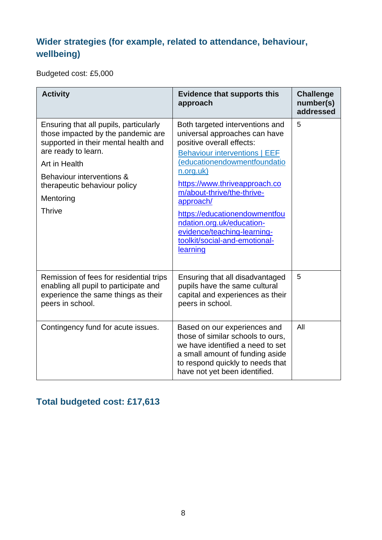### **Wider strategies (for example, related to attendance, behaviour, wellbeing)**

Budgeted cost: £5,000

| <b>Activity</b>                                                                                                                                                                                                                                         | <b>Evidence that supports this</b><br>approach                                                                                                                                                                                                                                                                                                                                                           | <b>Challenge</b><br>number(s)<br>addressed |
|---------------------------------------------------------------------------------------------------------------------------------------------------------------------------------------------------------------------------------------------------------|----------------------------------------------------------------------------------------------------------------------------------------------------------------------------------------------------------------------------------------------------------------------------------------------------------------------------------------------------------------------------------------------------------|--------------------------------------------|
| Ensuring that all pupils, particularly<br>those impacted by the pandemic are<br>supported in their mental health and<br>are ready to learn.<br>Art in Health<br>Behaviour interventions &<br>therapeutic behaviour policy<br>Mentoring<br><b>Thrive</b> | Both targeted interventions and<br>universal approaches can have<br>positive overall effects:<br><b>Behaviour interventions   EEF</b><br>(educationendowmentfoundatio<br>n.org.uk)<br>https://www.thriveapproach.co<br>m/about-thrive/the-thrive-<br>approach/<br>https://educationendowmentfou<br>ndation.org.uk/education-<br>evidence/teaching-learning-<br>toolkit/social-and-emotional-<br>learning | 5                                          |
| Remission of fees for residential trips<br>enabling all pupil to participate and<br>experience the same things as their<br>peers in school.                                                                                                             | Ensuring that all disadvantaged<br>pupils have the same cultural<br>capital and experiences as their<br>peers in school.                                                                                                                                                                                                                                                                                 | 5                                          |
| Contingency fund for acute issues.                                                                                                                                                                                                                      | Based on our experiences and<br>those of similar schools to ours,<br>we have identified a need to set<br>a small amount of funding aside<br>to respond quickly to needs that<br>have not yet been identified.                                                                                                                                                                                            | All                                        |

### **Total budgeted cost: £17,613**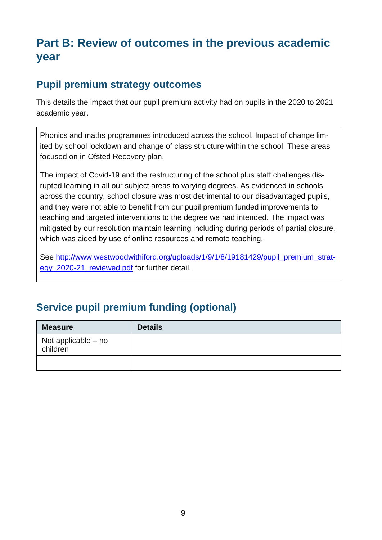# **Part B: Review of outcomes in the previous academic year**

#### **Pupil premium strategy outcomes**

This details the impact that our pupil premium activity had on pupils in the 2020 to 2021 academic year.

Phonics and maths programmes introduced across the school. Impact of change limited by school lockdown and change of class structure within the school. These areas focused on in Ofsted Recovery plan.

The impact of Covid-19 and the restructuring of the school plus staff challenges disrupted learning in all our subject areas to varying degrees. As evidenced in schools across the country, school closure was most detrimental to our disadvantaged pupils, and they were not able to benefit from our pupil premium funded improvements to teaching and targeted interventions to the degree we had intended. The impact was mitigated by our resolution maintain learning including during periods of partial closure, which was aided by use of online resources and remote teaching.

See [http://www.westwoodwithiford.org/uploads/1/9/1/8/19181429/pupil\\_premium\\_strat](http://www.westwoodwithiford.org/uploads/1/9/1/8/19181429/pupil_premium_strategy_2020-21_reviewed.pdf)[egy\\_2020-21\\_reviewed.pdf](http://www.westwoodwithiford.org/uploads/1/9/1/8/19181429/pupil_premium_strategy_2020-21_reviewed.pdf) for further detail.

### **Service pupil premium funding (optional)**

| <b>Measure</b>                  | <b>Details</b> |
|---------------------------------|----------------|
| Not applicable - no<br>children |                |
|                                 |                |